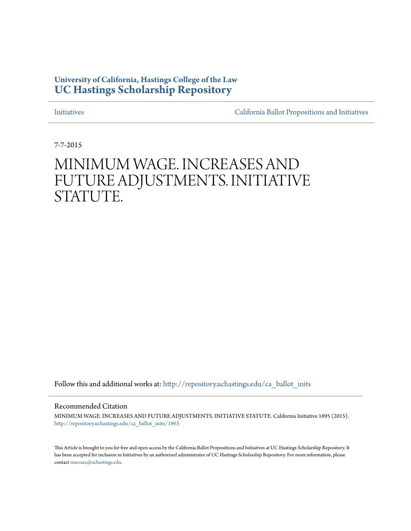## **University of California, Hastings College of the Law [UC Hastings Scholarship Repository](http://repository.uchastings.edu?utm_source=repository.uchastings.edu%2Fca_ballot_inits%2F1963&utm_medium=PDF&utm_campaign=PDFCoverPages)**

[Initiatives](http://repository.uchastings.edu/ca_ballot_inits?utm_source=repository.uchastings.edu%2Fca_ballot_inits%2F1963&utm_medium=PDF&utm_campaign=PDFCoverPages) [California Ballot Propositions and Initiatives](http://repository.uchastings.edu/ca_ballots?utm_source=repository.uchastings.edu%2Fca_ballot_inits%2F1963&utm_medium=PDF&utm_campaign=PDFCoverPages)

7-7-2015

# MINIMUM WAGE. INCREASES AND FUTURE ADJUSTMENTS. INITIATIVE STATUTE.

Follow this and additional works at: [http://repository.uchastings.edu/ca\\_ballot\\_inits](http://repository.uchastings.edu/ca_ballot_inits?utm_source=repository.uchastings.edu%2Fca_ballot_inits%2F1963&utm_medium=PDF&utm_campaign=PDFCoverPages)

Recommended Citation

MINIMUM WAGE. INCREASES AND FUTURE ADJUSTMENTS. INITIATIVE STATUTE. California Initiative 1695 (2015). [http://repository.uchastings.edu/ca\\_ballot\\_inits/1963](http://repository.uchastings.edu/ca_ballot_inits/1963?utm_source=repository.uchastings.edu%2Fca_ballot_inits%2F1963&utm_medium=PDF&utm_campaign=PDFCoverPages)

This Article is brought to you for free and open access by the California Ballot Propositions and Initiatives at UC Hastings Scholarship Repository. It has been accepted for inclusion in Initiatives by an authorized administrator of UC Hastings Scholarship Repository. For more information, please contact [marcusc@uchastings.edu](mailto:marcusc@uchastings.edu).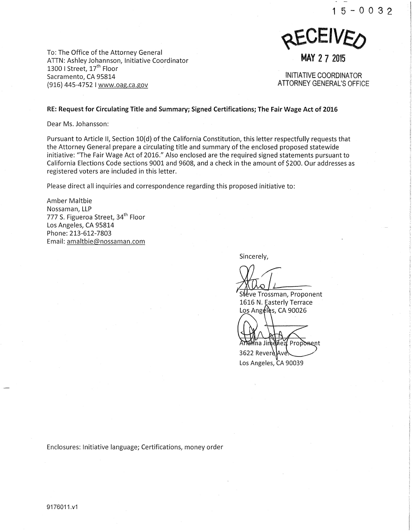

To: The Office of the Attorney General ATTN: Ashley Johannson, Initiative Coordinator 1300 I Street, 17<sup>th</sup> Floor Sacramento, CA 95814 (916) 445-4752 I www.oag.ca.gov

INITIATIVE COORDINATOR ATTORNEY GENERAL'S OFFICE

#### RE: Request for Circulating Title and Summary; Signed Certifications; The Fair Wage Act of 20'16

Dear Ms. Johansson:

Pursuant to Article II, Section 10(d) of the California Constitution, this letter respectfully requests that the Attorney General prepare a circulating title and summary of the enclosed proposed statewide initiative: "The Fair Wage Act of 2016." Also enclosed are the required signed statements pursuant to California Elections Code sections 9001 and 9608, and a check in the amount of \$200. Our addresses as registered voters are included in this letter.

Please direct all inquiries and correspondence regarding this proposed initiative to:

Amber Maltbie Nossaman, LLP 777 S. Figueroa Street, 34<sup>th</sup> Floor Los Angeles, CA 95814 Phone: 213-612-7803 Email: amaltbie@nossaman.com

Sincerely,

 $\overline{\phantom{a}}$ 

Steve Trossman, Proponent 1616 N. Easterly Terrace Los Angéles, CA 90026

na Jimenez, Proponent 3622 RevereAve Los Angeles, CA 90039

Enclosures: Initiative language; Certifications, money order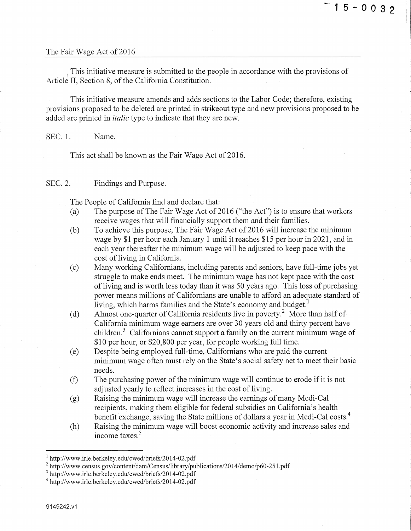#### The Fair Wage Act of 2016

This initiative measure is submitted to the people in accordance with the provisions of Article II, Section 8, of the California Constitution.

This initiative measure amends and adds sections to the Labor Code; therefore, existing provisions proposed to be deleted are printed in strikeout type and new provisions proposed to be added are printed in *italic* type to indicate that they are new.

SEC. 1. Name.

This act shall be known as the Fair Wage Act of 2016.

SEC. 2. Findings and Purpose.

The People of California find and declare that:

- (a) The purpose of The Fair Wage Act of 2016 ("the Act") is to ensure that workers receive wages that will financially support them and their families.
- $(b)$  To achieve this purpose, The Fair Wage Act of 2016 will increase the minimum wage by \$1 per hour each January 1 until it reaches \$15 per hour in 2021, and in each year thereafter the minimum wage will be adjusted to keep pace with the cost of living in California.
- (c) Many working Californians, including parents and seniors, have full-time jobs yet struggle to make ends meet. The minimum wage has not kept pace with the cost of living and is worth less today than it was 50 years ago. This loss of purchasing power means millions of Californians are unable to afford an adequate standard of living, which harms families and the State's economy and budget.<sup>1</sup>
- (d) Almost one-quarter of California residents live in poverty? More than half of California minimum wage earners are over 30 years old and thirty percent have children.<sup>3</sup> Californians cannot support a family on the current minimum wage of \$10 per hour, or \$20,800 per year, for people working full time.
- (e) Despite being employed full-time, Californians who are paid the current minimum wage often must rely on the State's social safety net to meet their basic needs.
- (f) The purchasing power of the minimum wage will continue to erode if it is not adjusted yearly to reflect increases in the cost of living.
- (g) Raising the minimum wage will increase the earnings of many Medi-Cal recipients, making them eligible for federal subsidies on California's health benefit exchange, saving the State millions of dollars a year in Medi-Cal costs.<sup>4</sup>
- (h) Raising the minimum wage will boost economic activity and increase sales and income taxes. 5

<sup>&</sup>lt;sup>1</sup> http://www.irle.berkeley.edu/cwed/briefs/2014-02.pdf

 $^2$  http://www.census.gov/content/dam/Census/library/publications/2014/demo/p60-251.pdf  $^3$  http://www.irle.berkeley.edu/cwed/briefs/2014-02.pdf

<sup>4</sup> http://www .ir le. berkeley .edu/ cwed/briefs/20 14-02. pdf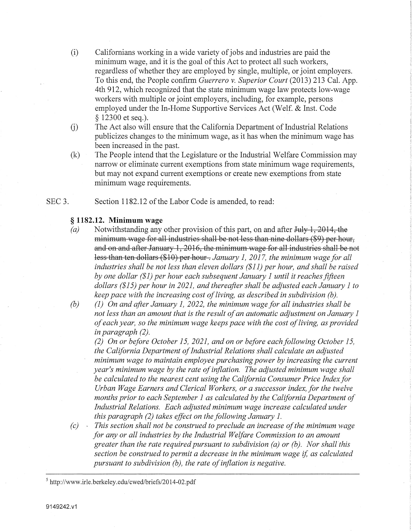- (i) Californians working in a wide variety of jobs and industries are paid the minimum wage, and it is the goal of this Act to protect all such workers, regardless of whether they are employed by single, multiple, or joint employers. To this end, the People confirm *Guerrero v. Superior Court* (2013) 213 Cal. App. 4th 912, which recognized that the state minimum wage law protects low-wage workers with multiple or joint employers, including, for example, persons employed under the In-Home Supportive Services Act (Welf. & Inst. Code § 12300 et seq.).
- $(i)$ The Act also will ensure that the California Department of Industrial Relations publicizes changes to the minimum wage, as it has when the minimum wage has been increased in the past.
- (k) The People intend that the Legislature or the Industrial Welfare Commission may narrow or eliminate current exemptions from state minimum wage requirements, but may not expand current exemptions or create new exemptions from state minimum wage requirements.
- SEC<sub>3</sub>. Section 1182.12 of the Labor Code is amended, to read:

### § **1182.12. Minimum wage**

- *(a)* Notwithstanding any other provision of this part, on and after July 1, 2014, the minimum wage for all industries shall be not less than nine dollars (\$9) per hour, and on and after January 1, 2016, the minimum wage for all industries shall be not less than ten dollars (\$10) per hour. *January 1, 2017, the minimum wage for all industries shall be not less than eleven dollars (\$11) per hour, and shall be raised by one dollar (\$1) per hour each subsequent January 1 until it reaches fifteen dollars (\$15) per hour in 2021, and thereafter shall be adjusted each January 1 to keep pace with the increasing cost of living, as described in subdivision (b).*
- *(b) (1) On and after January 1, 2022, the minimum wage for all industries shall be not less than an amount that is the result of an automatic adjustment on January 1 of each year, so the minimum wage keeps pace with the cost of living, as provided in paragraph (2).*

*(2) On or before October 15, 2021, and on or before each following October 15, the California Department of Industrial Relations shall calculate an adjusted minimum wage to maintain employee purchasing power by increasing the current year's minimum wage by the rate of inflation. The adjusted minimum wage shall be calculated to the nearest cent using the California Consumer Price Index for Urban Wage Earners and Clerical Workers, or a successor index, for the twelve months prior to each September 1 as calculated by the California Department of Industrial Relations. Each adjusted minimum wage increase calculated under this paragraph (2) takes effect on the following January 1.* 

*(c)* · *This section shall not be construed to preclude an increase of the minimum wage for any or all industries by the Industrial Welfare Commission to an amount greater than the tate required pursuant to subdivision (a) or (b). Nor shall'this section be construed to permit a decrease in the minimum wage* if, *as calculated pursuant to subdivision (b), the rate of inflation is negative.* 

 $5$  http://www.irle.berkeley.edu/cwed/briefs/2014-02.pdf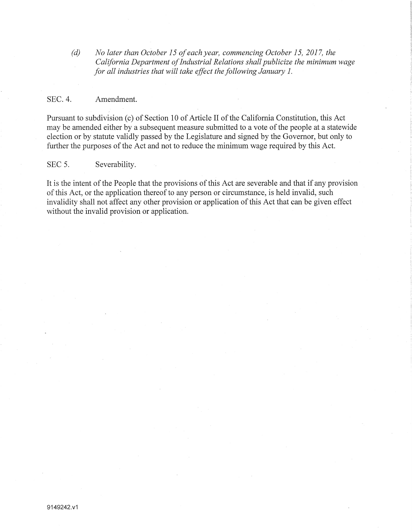*(d) No later than October 15 of each year, commencing October 15, 2017, the California Department of Industrial Relations shall publicize the minimum wage for all industries that will take effect the following January 1.* 

#### SEC. 4. Amendment.

Pursuant to subdivision (c) of Section 10 of Article II of the California Constitution, this Act may be amended either by a subsequent measure submitted to a vote of the people at a statewide election or by statute validly passed by the Legislature and signed by the Governor, but only to further the purposes of the Act and not to reduce the minimum wage required by this Act.

#### SEC 5. Severability.

It is the intent of the People that the provisions of this Act are severable and that if any provision of this Act, or the application thereof to any person or circumstance, is held invalid, such invalidity shall not affect any other provision or application of this Act that can be given effect without the invalid provision or application.